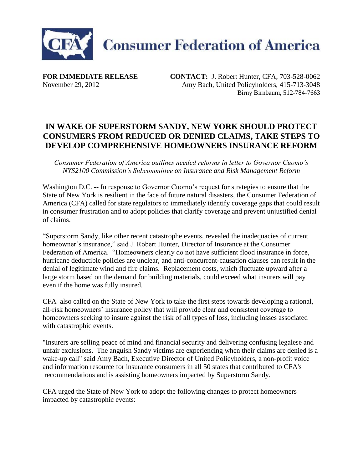

**FOR IMMEDIATE RELEASE CONTACT:** J. Robert Hunter, CFA, 703-528-0062 November 29, 2012 Amy Bach, United Policyholders, 415-713-3048 Birny Birnbaum, 512-784-7663

## **IN WAKE OF SUPERSTORM SANDY, NEW YORK SHOULD PROTECT CONSUMERS FROM REDUCED OR DENIED CLAIMS, TAKE STEPS TO DEVELOP COMPREHENSIVE HOMEOWNERS INSURANCE REFORM**

*Consumer Federation of America outlines needed reforms in letter to Governor Cuomo's NYS2100 Commission's Subcommittee on Insurance and Risk Management Reform*

Washington D.C. -- In response to Governor Cuomo's request for strategies to ensure that the State of New York is resilient in the face of future natural disasters, the Consumer Federation of America (CFA) called for state regulators to immediately identify coverage gaps that could result in consumer frustration and to adopt policies that clarify coverage and prevent unjustified denial of claims.

"Superstorm Sandy, like other recent catastrophe events, revealed the inadequacies of current homeowner's insurance," said J. Robert Hunter, Director of Insurance at the Consumer Federation of America. "Homeowners clearly do not have sufficient flood insurance in force, hurricane deductible policies are unclear, and anti-concurrent-causation clauses can result in the denial of legitimate wind and fire claims. Replacement costs, which fluctuate upward after a large storm based on the demand for building materials, could exceed what insurers will pay even if the home was fully insured.

CFA also called on the State of New York to take the first steps towards developing a rational, all-risk homeowners' insurance policy that will provide clear and consistent coverage to homeowners seeking to insure against the risk of all types of loss, including losses associated with catastrophic events.

"Insurers are selling peace of mind and financial security and delivering confusing legalese and unfair exclusions. The anguish Sandy victims are experiencing when their claims are denied is a wake-up call" said Amy Bach, Executive Director of United Policyholders, a non-profit voice and information resource for insurance consumers in all 50 states that contributed to CFA's recommendations and is assisting homeowners impacted by Superstorm Sandy.

CFA urged the State of New York to adopt the following changes to protect homeowners impacted by catastrophic events: